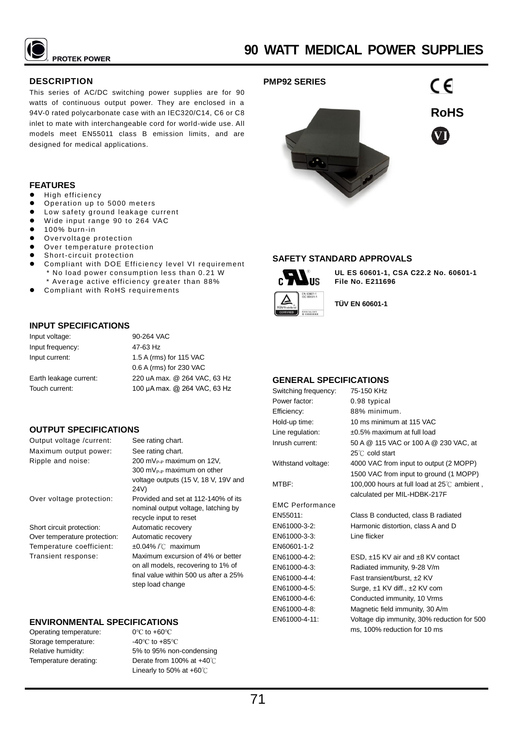

#### **DESCRIPTION**

This series of AC/DC switching power supplies are for 90 watts of continuous output power. They are enclosed in a 94V-0 rated polycarbonate case with an IEC320/C14, C6 or C8 inlet to mate with interchangeable cord for world-wide use. All models meet EN55011 class B emission limits, and are designed for medical applications.

#### **FEATURES**

- ⚫ High efficiency
- Operation up to 5000 meters
- Low safety ground leakage current
- Wide input range 90 to 264 VAC
- ⚫ 100% burn-in
- Overvoltage protection
- ⚫ Over temperature protection
- ⚫ Short-circuit protection
- ⚫ Compliant with DOE Efficiency level VI requirement \* No load power consumption less than 0. 21 W
	- \* Average active efficiency greater than 88%
- Compliant with RoHS requirements

#### **INPUT SPECIFICATIONS**

| Input voltage:         | 90-264 VAC                   |
|------------------------|------------------------------|
| Input frequency:       | 47-63 Hz                     |
| Input current:         | 1.5 A (rms) for 115 VAC      |
|                        | 0.6 A (rms) for 230 VAC      |
| Earth leakage current: | 220 uA max. @ 264 VAC. 63 Hz |
| Touch current:         | 100 µA max. @ 264 VAC, 63 Hz |

#### **OUTPUT SPECIFICATIONS**

| Output voltage /current:     | See rating chart.                     |
|------------------------------|---------------------------------------|
| Maximum output power:        | See rating chart.                     |
| Ripple and noise:            | 200 mV <sub>P-P</sub> maximum on 12V, |
|                              | 300 m $V_{P-P}$ maximum on other      |
|                              | voltage outputs (15 V, 18 V, 19V and  |
|                              | 24V)                                  |
| Over voltage protection:     | Provided and set at 112-140% of its   |
|                              | nominal output voltage, latching by   |
|                              | recycle input to reset                |
| Short circuit protection:    | Automatic recovery                    |
| Over temperature protection: | Automatic recovery                    |
| Temperature coefficient:     | $\pm 0.04\%$ / $\degree$ maximum      |
| Transient response:          | Maximum excursion of 4% or better     |
|                              | on all models, recovering to 1% of    |
|                              | final value within 500 us after a 25% |
|                              | step load change                      |

#### **ENVIRONMENTAL SPECIFICATIONS**

Operating temperature: Storage temperature: Relative humidity: Temperature derating:

0℃ to +60℃ -40℃ to +85℃ 5% to 95% non-condensing Derate from 100% at +40℃ Linearly to 50% at +60℃



# $\epsilon$ **RoHS**



### **SAFETY STANDARD APPROVALS**



**UL ES 60601-1, CSA C22.2 No. 60601-1 File No. E211696**



**TÜ V EN 60601-1**

#### **GENERAL SPECIFICATIONS**

| Switching frequency:   | 75-150 KHz                                  |
|------------------------|---------------------------------------------|
| Power factor:          | 0.98 typical                                |
| Efficiency:            | 88% minimum.                                |
| Hold-up time:          | 10 ms minimum at 115 VAC                    |
| Line regulation:       | $\pm 0.5\%$ maximum at full load            |
| Inrush current:        | 50 A @ 115 VAC or 100 A @ 230 VAC, at       |
|                        | $25^{\circ}$ C cold start                   |
| Withstand voltage:     | 4000 VAC from input to output (2 MOPP)      |
|                        | 1500 VAC from input to ground (1 MOPP)      |
| MTBF:                  | 100,000 hours at full load at 25°C ambient, |
|                        | calculated per MIL-HDBK-217F                |
| <b>EMC Performance</b> |                                             |
| EN55011:               | Class B conducted, class B radiated         |
| EN61000-3-2:           | Harmonic distortion, class A and D          |
| EN61000-3-3:           | Line flicker                                |
| EN60601-1-2            |                                             |
| EN61000-4-2:           | ESD, $\pm$ 15 KV air and $\pm$ 8 KV contact |
| EN61000-4-3:           | Radiated immunity, 9-28 V/m                 |
| EN61000-4-4:           | Fast transient/burst, ±2 KV                 |
| EN61000-4-5:           | Surge, ±1 KV diff., ±2 KV com               |
| EN61000-4-6:           | Conducted immunity, 10 Vrms                 |
| EN61000-4-8:           | Magnetic field immunity, 30 A/m             |
| EN61000-4-11:          | Voltage dip immunity, 30% reduction for 500 |
|                        | ms. 100% reduction for 10 ms                |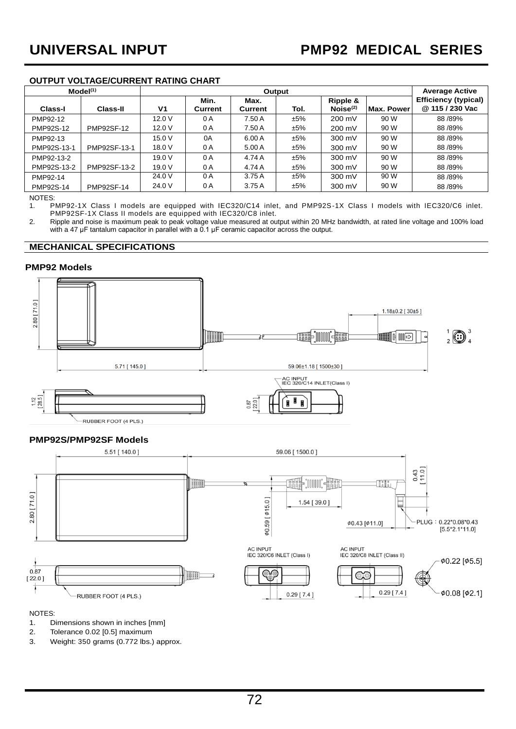### **OUTPUT VOLTAGE/CURRENT RATING CHART**

|             | Model <sup>(1)</sup> | Output |         |         | <b>Average Active</b> |                  |                   |                             |
|-------------|----------------------|--------|---------|---------|-----------------------|------------------|-------------------|-----------------------------|
|             |                      |        | Min.    | Max.    |                       | Ripple &         |                   | <b>Efficiency (typical)</b> |
| Class-I     | Class-II             | V1     | Current | Current | Tol.                  | Noise $(2)$      | <b>Max. Power</b> | @ 115 / 230 Vac             |
| PMP92-12    |                      | 12.0V  | 0 A     | 7.50 A  | ±5%                   | 200 mV           | 90 W              | 88/89%                      |
| PMP92S-12   | <b>PMP92SF-12</b>    | 12.0V  | 0 A     | 7.50 A  | ±5%                   | 200 mV           | 90 W              | 88/89%                      |
| PMP92-13    |                      | 15.0 V | 0A      | 6.00 A  | ±5%                   | 300 mV           | 90 W              | 88/89%                      |
| PMP92S-13-1 | PMP92SF-13-1         | 18.0 V | 0 A     | 5.00 A  | ±5%                   | 300 mV           | 90 W              | 88/89%                      |
| PMP92-13-2  |                      | 19.0 V | 0A      | 4.74 A  | ±5%                   | $300 \text{ mV}$ | 90 W              | 88 / 89%                    |
| PMP92S-13-2 | PMP92SF-13-2         | 19.0 V | 0 A     | 4.74 A  | ±5%                   | 300 mV           | 90 W              | 88/89%                      |
| PMP92-14    |                      | 24.0 V | 0 A     | 3.75A   | ±5%                   | $300 \text{ mV}$ | 90 W              | 88/89%                      |
| PMP92S-14   | <b>PMP92SF-14</b>    | 24.0 V | 0 A     | 3.75A   | ±5%                   | 300 mV           | 90 W              | 88/89%                      |

NOTES:

1. PMP92-1X Class I models are equipped with IEC320/C14 inlet, and PMP92S-1X Class I models with IEC320/C6 inlet. PMP92SF-1X Class II models are equipped with IEC320/C8 inlet.

2. Ripple and noise is maximum peak to peak voltage value measured at output within 20 MHz bandwidth, at rated line voltage and 100% load with a 47 μF tantalum capacitor in parallel with a 0.1 μF ceramic capacitor across the output.

#### **MECHANICAL SPECIFICATIONS**

#### **PMP92 Models**





- 1. Dimensions shown in inches [mm]
- 2. Tolerance 0.02 [0.5] maximum
- 3. Weight: 350 grams (0.772 lbs.) approx.